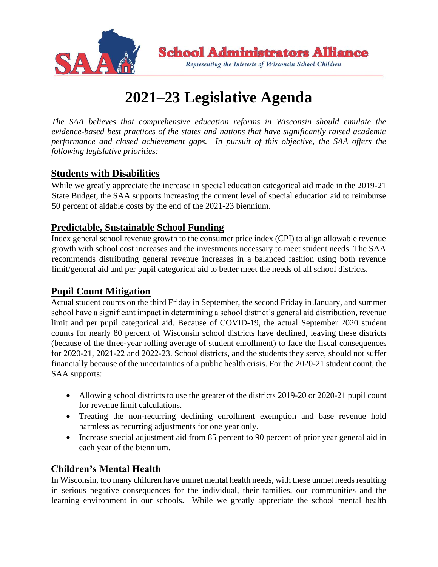

# **2021–23 Legislative Agenda**

*The SAA believes that comprehensive education reforms in Wisconsin should emulate the evidence-based best practices of the states and nations that have significantly raised academic performance and closed achievement gaps. In pursuit of this objective, the SAA offers the following legislative priorities:* 

#### **Students with Disabilities**

While we greatly appreciate the increase in special education categorical aid made in the 2019-21 State Budget, the SAA supports increasing the current level of special education aid to reimburse 50 percent of aidable costs by the end of the 2021-23 biennium.

#### **Predictable, Sustainable School Funding**

Index general school revenue growth to the consumer price index (CPI) to align allowable revenue growth with school cost increases and the investments necessary to meet student needs. The SAA recommends distributing general revenue increases in a balanced fashion using both revenue limit/general aid and per pupil categorical aid to better meet the needs of all school districts.

#### **Pupil Count Mitigation**

Actual student counts on the third Friday in September, the second Friday in January, and summer school have a significant impact in determining a school district's general aid distribution, revenue limit and per pupil categorical aid. Because of COVID-19, the actual September 2020 student counts for nearly 80 percent of Wisconsin school districts have declined, leaving these districts (because of the three-year rolling average of student enrollment) to face the fiscal consequences for 2020-21, 2021-22 and 2022-23. School districts, and the students they serve, should not suffer financially because of the uncertainties of a public health crisis. For the 2020-21 student count, the SAA supports:

- Allowing school districts to use the greater of the districts 2019-20 or 2020-21 pupil count for revenue limit calculations.
- Treating the non-recurring declining enrollment exemption and base revenue hold harmless as recurring adjustments for one year only.
- Increase special adjustment aid from 85 percent to 90 percent of prior year general aid in each year of the biennium.

## **Children's Mental Health**

In Wisconsin, too many children have unmet mental health needs, with these unmet needs resulting in serious negative consequences for the individual, their families, our communities and the learning environment in our schools. While we greatly appreciate the school mental health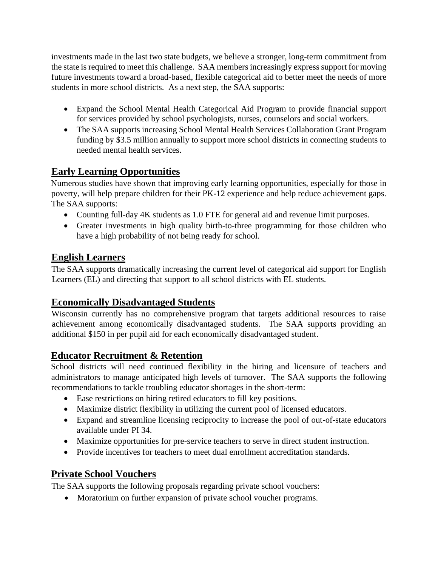investments made in the last two state budgets, we believe a stronger, long-term commitment from the state is required to meet this challenge. SAA members increasingly express support for moving future investments toward a broad-based, flexible categorical aid to better meet the needs of more students in more school districts. As a next step, the SAA supports:

- Expand the School Mental Health Categorical Aid Program to provide financial support for services provided by school psychologists, nurses, counselors and social workers.
- The SAA supports increasing School Mental Health Services Collaboration Grant Program funding by \$3.5 million annually to support more school districts in connecting students to needed mental health services.

## **Early Learning Opportunities**

Numerous studies have shown that improving early learning opportunities, especially for those in poverty, will help prepare children for their PK-12 experience and help reduce achievement gaps. The SAA supports:

- Counting full-day 4K students as 1.0 FTE for general aid and revenue limit purposes.
- Greater investments in high quality birth-to-three programming for those children who have a high probability of not being ready for school.

## **English Learners**

The SAA supports dramatically increasing the current level of categorical aid support for English Learners (EL) and directing that support to all school districts with EL students.

## **Economically Disadvantaged Students**

Wisconsin currently has no comprehensive program that targets additional resources to raise achievement among economically disadvantaged students. The SAA supports providing an additional \$150 in per pupil aid for each economically disadvantaged student.

## **Educator Recruitment & Retention**

School districts will need continued flexibility in the hiring and licensure of teachers and administrators to manage anticipated high levels of turnover. The SAA supports the following recommendations to tackle troubling educator shortages in the short-term:

- Ease restrictions on hiring retired educators to fill key positions.
- Maximize district flexibility in utilizing the current pool of licensed educators.
- Expand and streamline licensing reciprocity to increase the pool of out-of-state educators available under PI 34.
- Maximize opportunities for pre-service teachers to serve in direct student instruction.
- Provide incentives for teachers to meet dual enrollment accreditation standards.

## **Private School Vouchers**

The SAA supports the following proposals regarding private school vouchers:

• Moratorium on further expansion of private school voucher programs.